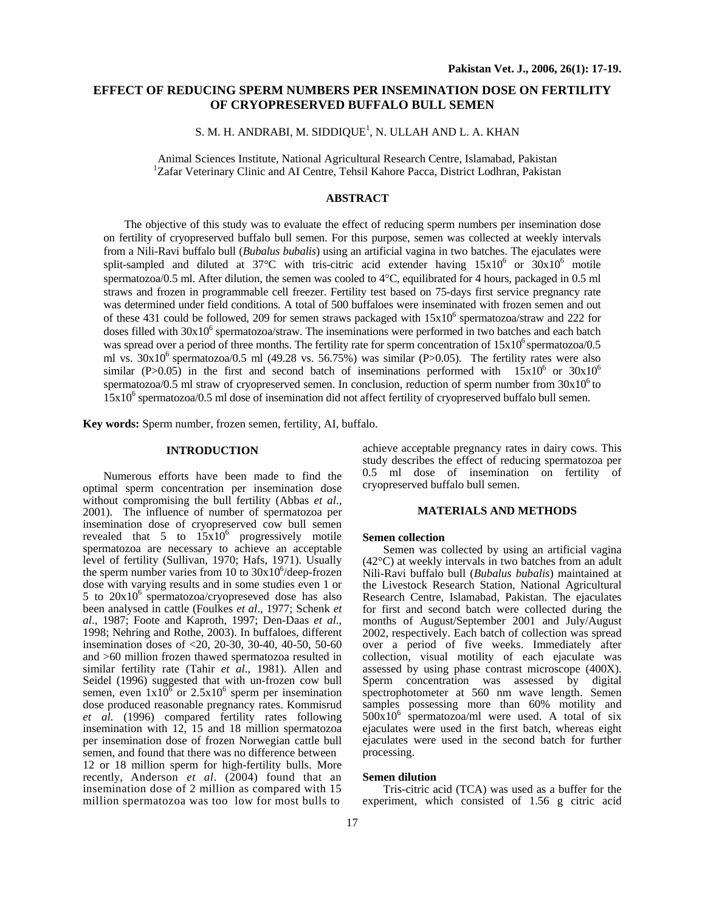# **EFFECT OF REDUCING SPERM NUMBERS PER INSEMINATION DOSE ON FERTILITY OF CRYOPRESERVED BUFFALO BULL SEMEN**

S. M. H. ANDRABI, M. SIDDIQUE<sup>1</sup>, N. ULLAH AND L. A. KHAN

Animal Sciences Institute, National Agricultural Research Centre, Islamabad, Pakistan <sup>1</sup> <sup>1</sup>Zafar Veterinary Clinic and AI Centre, Tehsil Kahore Pacca, District Lodhran, Pakistan

# **ABSTRACT**

The objective of this study was to evaluate the effect of reducing sperm numbers per insemination dose on fertility of cryopreserved buffalo bull semen. For this purpose, semen was collected at weekly intervals from a Nili-Ravi buffalo bull (*Bubalus bubalis*) using an artificial vagina in two batches. The ejaculates were split-sampled and diluted at 37°C with tris-citric acid extender having  $15x10^6$  or  $30x10^6$  motile spermatozoa/0.5 ml. After dilution, the semen was cooled to 4°C, equilibrated for 4 hours, packaged in 0.5 ml straws and frozen in programmable cell freezer. Fertility test based on 75-days first service pregnancy rate was determined under field conditions. A total of 500 buffaloes were inseminated with frozen semen and out of these 431 could be followed, 209 for semen straws packaged with  $15x10^6$  spermatozoa/straw and 222 for doses filled with 30x10<sup>6</sup> spermatozoa/straw. The inseminations were performed in two batches and each batch was spread over a period of three months. The fertility rate for sperm concentration of  $15x10^6$  spermatozoa/0.5 ml vs.  $30x10^6$  spermatozoa/0.5 ml (49.28 vs. 56.75%) was similar (P>0.05). The fertility rates were also similar (P>0.05) in the first and second batch of inseminations performed with  $15x10^6$  or  $30x10^6$ spermatozoa/0.5 ml straw of cryopreserved semen. In conclusion, reduction of sperm number from  $30x10^6$  to 15x10<sup>6</sup> spermatozoa/0.5 ml dose of insemination did not affect fertility of cryopreserved buffalo bull semen.

**Key words:** Sperm number, frozen semen, fertility, AI, buffalo.

## **INTRODUCTION**

Numerous efforts have been made to find the optimal sperm concentration per insemination dose without compromising the bull fertility (Abbas *et al*., 2001). The influence of number of spermatozoa per insemination dose of cryopreserved cow bull semen revealed that 5 to  $15x10^6$  progressively motile spermatozoa are necessary to achieve an acceptable level of fertility (Sullivan, 1970; Hafs, 1971). Usually the sperm number varies from  $10$  to  $30x10^6$ /deep-frozen dose with varying results and in some studies even 1 or 5 to  $20x10^6$  spermatozoa/cryopreseved dose has also been analysed in cattle (Foulkes *et al*., 1977; Schenk *et al*., 1987; Foote and Kaproth, 1997; Den-Daas *et al*., 1998; Nehring and Rothe, 2003). In buffaloes, different insemination doses of <20, 20-30, 30-40, 40-50, 50-60 and >60 million frozen thawed spermatozoa resulted in similar fertility rate (Tahir *et al*., 1981). Allen and Seidel (1996) suggested that with un-frozen cow bull semen, even  $1x10^6$  or  $2.5x10^6$  sperm per insemination dose produced reasonable pregnancy rates. Kommisrud *et al*. (1996) compared fertility rates following insemination with 12, 15 and 18 million spermatozoa per insemination dose of frozen Norwegian cattle bull semen, and found that there was no difference between 12 or 18 million sperm for high-fertility bulls. More recently, Anderson *et al*. (2004) found that an insemination dose of 2 million as compared with 15 million spermatozoa was too low for most bulls to

achieve acceptable pregnancy rates in dairy cows. This study describes the effect of reducing spermatozoa per 0.5 ml dose of insemination on fertility of cryopreserved buffalo bull semen.

#### **MATERIALS AND METHODS**

### **Semen collection**

Semen was collected by using an artificial vagina (42°C) at weekly intervals in two batches from an adult Nili-Ravi buffalo bull (*Bubalus bubalis*) maintained at the Livestock Research Station, National Agricultural Research Centre, Islamabad, Pakistan. The ejaculates for first and second batch were collected during the months of August/September 2001 and July/August 2002, respectively. Each batch of collection was spread over a period of five weeks. Immediately after collection, visual motility of each ejaculate was assessed by using phase contrast microscope (400X). Sperm concentration was assessed by digital spectrophotometer at 560 nm wave length. Semen samples possessing more than 60% motility and  $500x10^6$  spermatozoa/ml were used. A total of six ejaculates were used in the first batch, whereas eight ejaculates were used in the second batch for further processing.

#### **Semen dilution**

Tris-citric acid (TCA) was used as a buffer for the experiment, which consisted of 1.56 g citric acid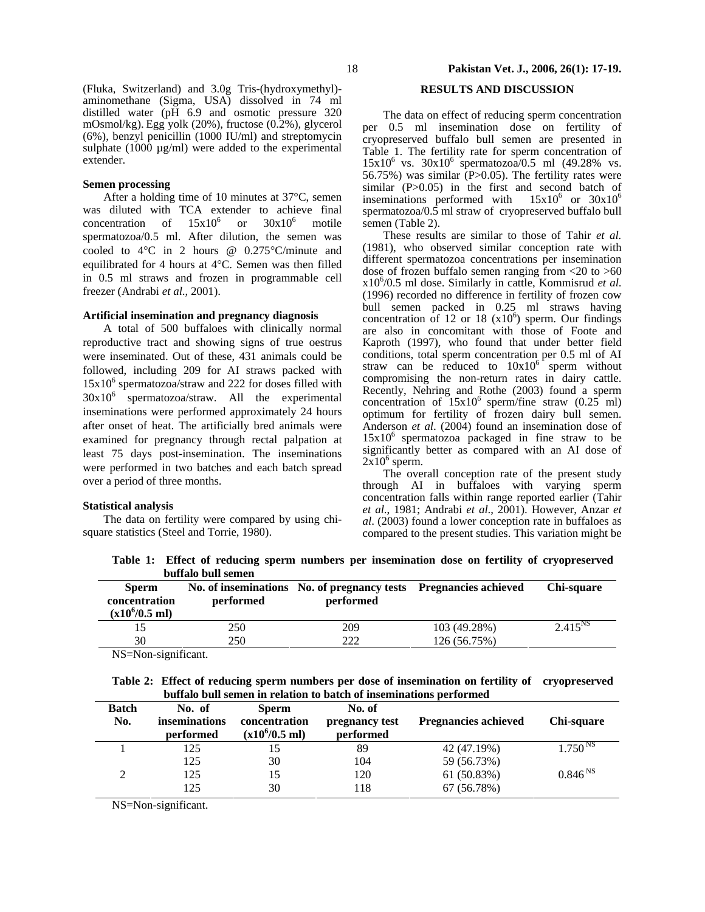(Fluka, Switzerland) and 3.0g Tris-(hydroxymethyl) aminomethane (Sigma, USA) dissolved in 74 ml distilled water (pH 6.9 and osmotic pressure 320 mOsmol/kg). Egg yolk (20%), fructose (0.2%), glycerol (6%), benzyl penicillin (1000 IU/ml) and streptomycin sulphate  $(1000 \mu g/ml)$  were added to the experimental extender.

## **Semen processing**

After a holding time of 10 minutes at 37°C, semen was diluted with TCA extender to achieve final concentration of  $15x10^6$ or  $30x10^6$  motile spermatozoa/0.5 ml. After dilution, the semen was cooled to 4°C in 2 hours @ 0.275°C/minute and equilibrated for 4 hours at 4°C. Semen was then filled in 0.5 ml straws and frozen in programmable cell freezer (Andrabi *et al*., 2001).

## **Artificial insemination and pregnancy diagnosis**

A total of 500 buffaloes with clinically normal reproductive tract and showing signs of true oestrus were inseminated. Out of these, 431 animals could be followed, including 209 for AI straws packed with 15x106 spermatozoa/straw and 222 for doses filled with  $30x10<sup>6</sup>$  spermatozoa/straw. All the experimental inseminations were performed approximately 24 hours after onset of heat. The artificially bred animals were examined for pregnancy through rectal palpation at least 75 days post-insemination. The inseminations were performed in two batches and each batch spread over a period of three months.

## **Statistical analysis**

The data on fertility were compared by using chisquare statistics (Steel and Torrie, 1980).

# **RESULTS AND DISCUSSION**

The data on effect of reducing sperm concentration per 0.5 ml insemination dose on fertility of cryopreserved buffalo bull semen are presented in Table 1. The fertility rate for sperm concentration of  $15x10^6$  vs.  $30x10^6$  spermatozoa/0.5 ml (49.28% vs. 56.75%) was similar  $(P>0.05)$ . The fertility rates were similar (P>0.05) in the first and second batch of inseminations performed with  $15x10^6$  or  $30x10^6$ spermatozoa/ $0.\overline{5}$  ml straw of cryopreserved buffalo bull semen (Table 2).

These results are similar to those of Tahir *et al.* (1981), who observed similar conception rate with different spermatozoa concentrations per insemination dose of frozen buffalo semen ranging from <20 to >60 x106 /0.5 ml dose. Similarly in cattle, Kommisrud *et al*. (1996) recorded no difference in fertility of frozen cow bull semen packed in 0.25 ml straws having concentration of 12 or 18  $(x10^6)$  sperm. Our findings are also in concomitant with those of Foote and Kaproth (1997), who found that under better field conditions, total sperm concentration per 0.5 ml of AI straw can be reduced to  $10x10^{6}$  sperm without compromising the non-return rates in dairy cattle. Recently, Nehring and Rothe (2003) found a sperm concentration of  $15x10^6$  sperm/fine straw (0.25 ml) optimum for fertility of frozen dairy bull semen. Anderson *et al*. (2004) found an insemination dose of 15x106 spermatozoa packaged in fine straw to be significantly better as compared with an AI dose of  $2x10^6$  sperm.

The overall conception rate of the present study through AI in buffaloes with varying sperm concentration falls within range reported earlier (Tahir *et al*., 1981; Andrabi *et al*., 2001). However, Anzar *et al*. (2003) found a lower conception rate in buffaloes as compared to the present studies. This variation might be

**Table 1: Effect of reducing sperm numbers per insemination dose on fertility of cryopreserved buffalo bull semen** 

| <b>Sperm</b><br>concentration<br>$(x10^6/0.5$ ml) | performed | No. of inseminations No. of pregnancy tests Pregnancies achieved<br>performed |              | Chi-square   |
|---------------------------------------------------|-----------|-------------------------------------------------------------------------------|--------------|--------------|
| 15                                                | 250       | 209                                                                           | 103 (49.28%) | $2.415^{NS}$ |
| 30                                                | 250       | 222                                                                           | 126 (56.75%) |              |

NS=Non-significant.

| Table 2: Effect of reducing sperm numbers per dose of insemination on fertility of cryopreserved |  |  |  |  |  |
|--------------------------------------------------------------------------------------------------|--|--|--|--|--|
| buffalo bull semen in relation to batch of inseminations performed                               |  |  |  |  |  |

| <b>Batch</b><br>No. | No. of<br><i>inseminations</i><br>performed | <b>Sperm</b><br>concentration<br>$(x10^6/0.5)$ ml) | No. of<br>pregnancy test<br>performed | <b>Pregnancies achieved</b> | Chi-square          |
|---------------------|---------------------------------------------|----------------------------------------------------|---------------------------------------|-----------------------------|---------------------|
|                     | 125                                         |                                                    | 89                                    | 42 (47.19%)                 | $1.750^{N.S}$       |
|                     | 125                                         | 30                                                 | 104                                   | 59 (56.73%)                 |                     |
| $\gamma$            | 125                                         | 15                                                 | 120                                   | 61(50.83%)                  | 0.846 <sup>NS</sup> |
|                     | 125                                         | 30                                                 | 118                                   | 67 (56.78%)                 |                     |

NS=Non-significant.